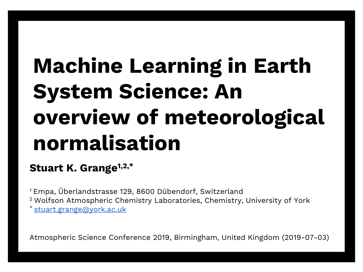# **Machine Learning in Earth System Science: An overview of meteorological normalisation**

#### **Stuart K. Grange1,2,\***

<sup>1</sup>Empa, Überlandstrasse 129, 8600 Dübendorf, Switzerland <sup>2</sup>Wolfson Atmospheric Chemistry Laboratories, Chemistry, University of York \* [stuart.grange@york.ac.uk](mailto:stuart.grange@york.ac.uk)

Atmospheric Science Conference 2019, Birmingham, United Kingdom (2019-07-03)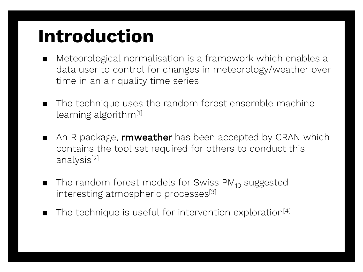# **Introduction**

- Meteorological normalisation is a framework which enables a data user to control for changes in meteorology/weather over time in an air quality time series
- The technique uses the random forest ensemble machine learning algorithm[1]
- An R package, **rmweather** has been accepted by CRAN which contains the tool set required for others to conduct this analysis[2]
- The random forest models for Swiss  $PM_{10}$  suggested interesting atmospheric processes<sup>[3]</sup>
- The technique is useful for intervention exploration<sup>[4]</sup>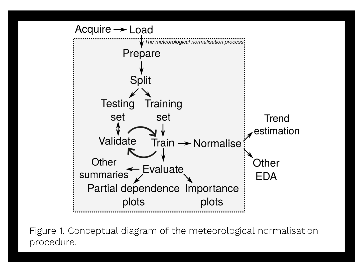

Figure 1. Conceptual diagram of the meteorological normalisation procedure.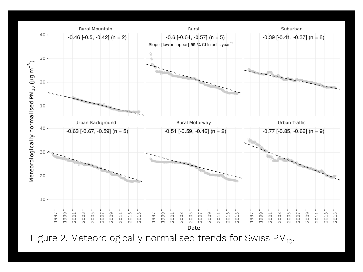

Figure 2. Meteorologically normalised trends for Swiss PM<sub>10</sub>.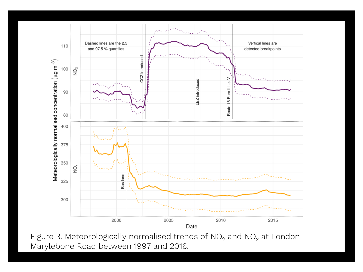

Figure 3. Meteorologically normalised trends of  $NO<sub>2</sub>$  and  $NO<sub>x</sub>$  at London Marylebone Road between 1997 and 2016.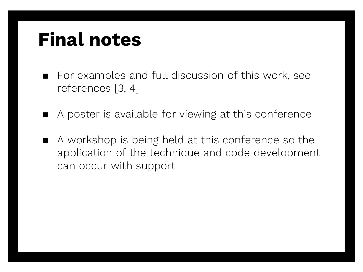## **Final notes**

- For examples and full discussion of this work, see references [3, 4]
- A poster is available for viewing at this conference
- A workshop is being held at this conference so the application of the technique and code development can occur with support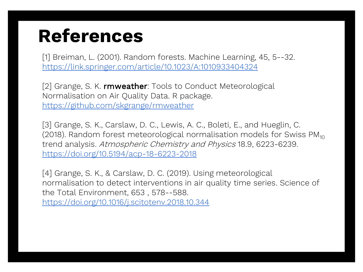## **References**

[1] Breiman, L. (2001). Random forests. Machine Learning, 45, 5--32. <https://link.springer.com/article/10.1023/A:1010933404324>

[2] Grange, S. K. rmweather: Tools to Conduct Meteorological Normalisation on Air Quality Data. R package. <https://github.com/skgrange/rmweather>

[3] Grange, S. K., Carslaw, D. C., Lewis, A. C., Boleti, E., and Hueglin, C. (2018). Random forest meteorological normalisation models for Swiss PM $_{10}$ trend analysis. Atmospheric Chemistry and Physics 18.9, 6223-6239. <https://doi.org/10.5194/acp-18-6223-2018>

[4] Grange, S. K., & Carslaw, D. C. (2019). Using meteorological normalisation to detect interventions in air quality time series. Science of the Total Environment, 653 , 578--588. <https://doi.org/10.1016/j.scitotenv.2018.10.344>